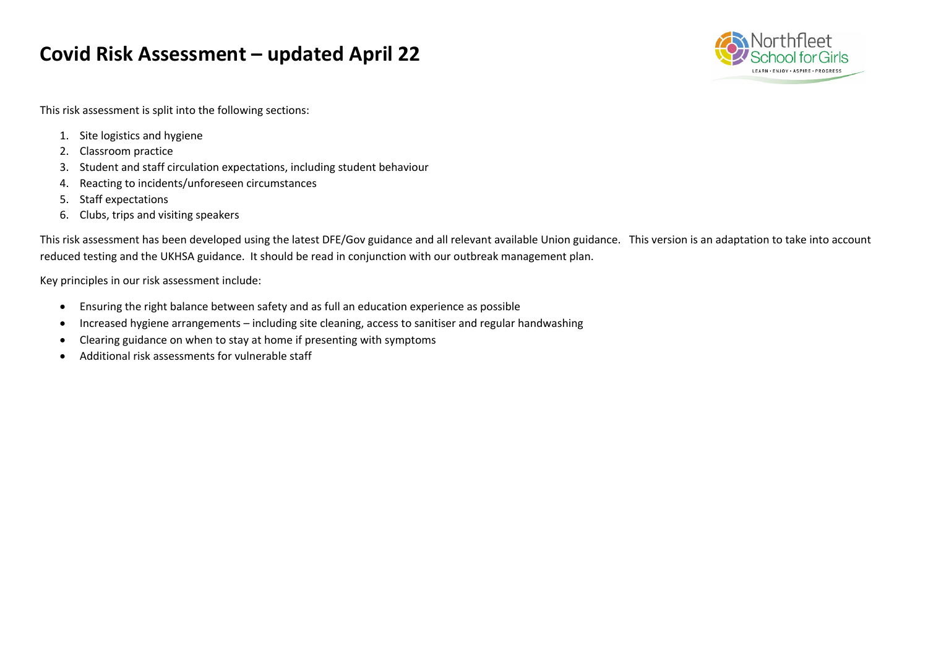# **Covid Risk Assessment – updated April 22**



This risk assessment is split into the following sections:

- 1. Site logistics and hygiene
- 2. Classroom practice
- 3. Student and staff circulation expectations, including student behaviour
- 4. Reacting to incidents/unforeseen circumstances
- 5. Staff expectations
- 6. Clubs, trips and visiting speakers

This risk assessment has been developed using the latest DFE/Gov guidance and all relevant available Union guidance. This version is an adaptation to take into account reduced testing and the UKHSA guidance. It should be read in conjunction with our outbreak management plan.

Key principles in our risk assessment include:

- Ensuring the right balance between safety and as full an education experience as possible
- Increased hygiene arrangements including site cleaning, access to sanitiser and regular handwashing
- Clearing guidance on when to stay at home if presenting with symptoms
- Additional risk assessments for vulnerable staff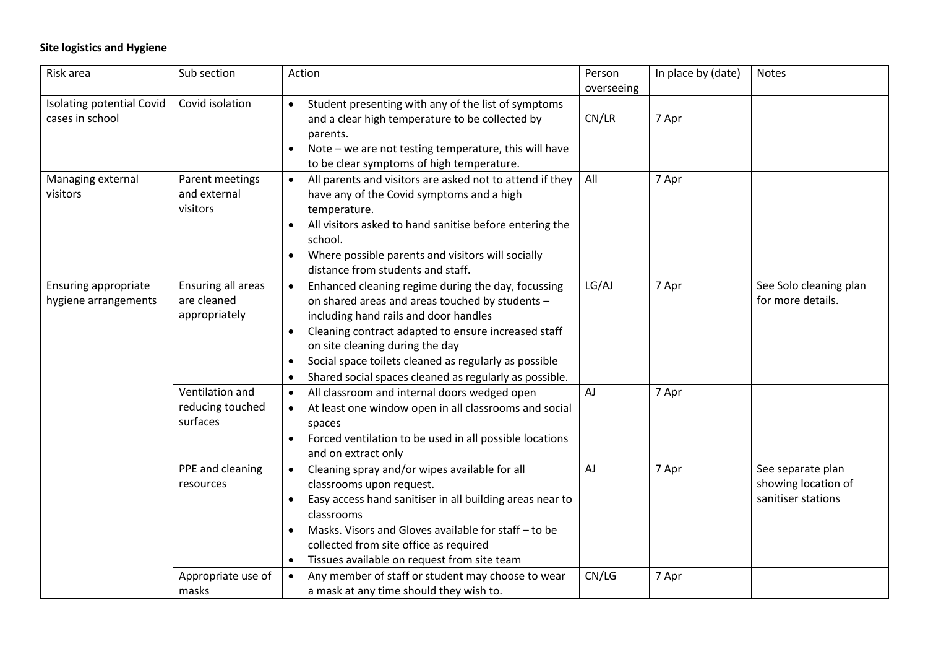## **Site logistics and Hygiene**

| Risk area                                    | Sub section                                        | Action                                                                                                                                                                                                                                                                                                                                                                   | Person              | In place by (date) | <b>Notes</b>                                                   |
|----------------------------------------------|----------------------------------------------------|--------------------------------------------------------------------------------------------------------------------------------------------------------------------------------------------------------------------------------------------------------------------------------------------------------------------------------------------------------------------------|---------------------|--------------------|----------------------------------------------------------------|
| Isolating potential Covid<br>cases in school | Covid isolation                                    | Student presenting with any of the list of symptoms<br>$\bullet$<br>and a clear high temperature to be collected by<br>parents.<br>Note - we are not testing temperature, this will have<br>to be clear symptoms of high temperature.                                                                                                                                    | overseeing<br>CN/LR | 7 Apr              |                                                                |
| Managing external<br>visitors                | Parent meetings<br>and external<br>visitors        | All parents and visitors are asked not to attend if they<br>have any of the Covid symptoms and a high<br>temperature.<br>All visitors asked to hand sanitise before entering the<br>school.<br>Where possible parents and visitors will socially<br>distance from students and staff.                                                                                    | All                 | 7 Apr              |                                                                |
| Ensuring appropriate<br>hygiene arrangements | Ensuring all areas<br>are cleaned<br>appropriately | Enhanced cleaning regime during the day, focussing<br>$\bullet$<br>on shared areas and areas touched by students -<br>including hand rails and door handles<br>Cleaning contract adapted to ensure increased staff<br>on site cleaning during the day<br>Social space toilets cleaned as regularly as possible<br>Shared social spaces cleaned as regularly as possible. | LG/AJ               | 7 Apr              | See Solo cleaning plan<br>for more details.                    |
|                                              | Ventilation and<br>reducing touched<br>surfaces    | All classroom and internal doors wedged open<br>$\bullet$<br>At least one window open in all classrooms and social<br>spaces<br>Forced ventilation to be used in all possible locations<br>and on extract only                                                                                                                                                           | AJ                  | 7 Apr              |                                                                |
|                                              | PPE and cleaning<br>resources                      | Cleaning spray and/or wipes available for all<br>$\bullet$<br>classrooms upon request.<br>Easy access hand sanitiser in all building areas near to<br>classrooms<br>Masks. Visors and Gloves available for staff - to be<br>collected from site office as required<br>Tissues available on request from site team<br>$\bullet$                                           | <b>AJ</b>           | 7 Apr              | See separate plan<br>showing location of<br>sanitiser stations |
|                                              | Appropriate use of<br>masks                        | Any member of staff or student may choose to wear<br>$\bullet$<br>a mask at any time should they wish to.                                                                                                                                                                                                                                                                | CN/LG               | 7 Apr              |                                                                |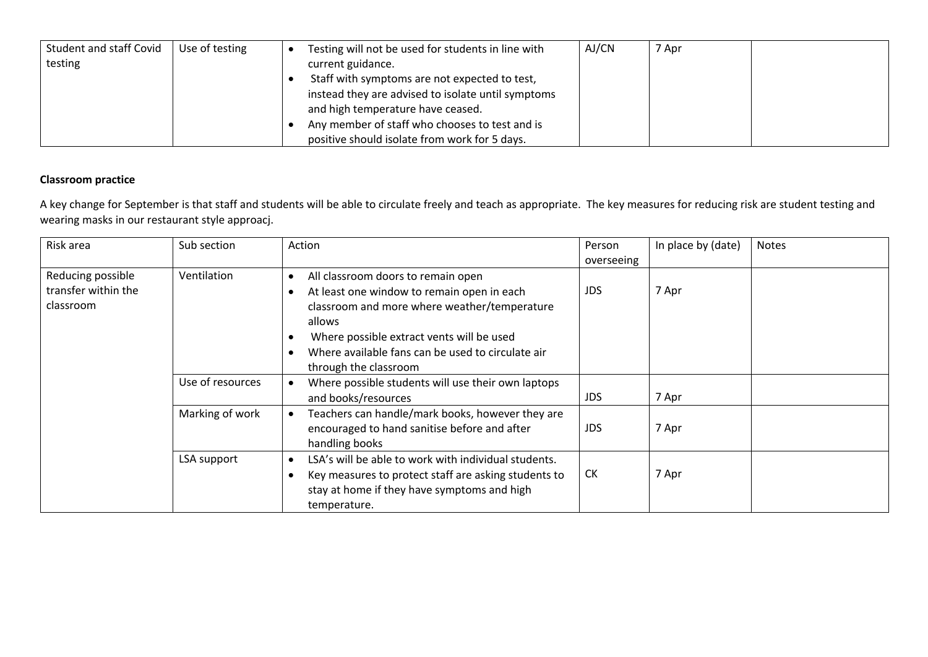| Student and staff Covid | Use of testing | Testing will not be used for students in line with | AJ/CN | 7 Apr |  |
|-------------------------|----------------|----------------------------------------------------|-------|-------|--|
| testing                 |                | current guidance.                                  |       |       |  |
|                         |                | Staff with symptoms are not expected to test,      |       |       |  |
|                         |                | instead they are advised to isolate until symptoms |       |       |  |
|                         |                | and high temperature have ceased.                  |       |       |  |
|                         |                | Any member of staff who chooses to test and is     |       |       |  |
|                         |                | positive should isolate from work for 5 days.      |       |       |  |

#### **Classroom practice**

A key change for September is that staff and students will be able to circulate freely and teach as appropriate. The key measures for reducing risk are student testing and wearing masks in our restaurant style approacj.

| Risk area                                             | Sub section      | Action                                                                                                                                                                                                                                                                | Person<br>overseeing | In place by (date) | <b>Notes</b> |
|-------------------------------------------------------|------------------|-----------------------------------------------------------------------------------------------------------------------------------------------------------------------------------------------------------------------------------------------------------------------|----------------------|--------------------|--------------|
| Reducing possible<br>transfer within the<br>classroom | Ventilation      | All classroom doors to remain open<br>At least one window to remain open in each<br>classroom and more where weather/temperature<br>allows<br>Where possible extract vents will be used<br>Where available fans can be used to circulate air<br>through the classroom | <b>JDS</b>           | 7 Apr              |              |
|                                                       | Use of resources | Where possible students will use their own laptops<br>and books/resources                                                                                                                                                                                             | <b>JDS</b>           | 7 Apr              |              |
|                                                       | Marking of work  | Teachers can handle/mark books, however they are<br>encouraged to hand sanitise before and after<br>handling books                                                                                                                                                    | <b>JDS</b>           | 7 Apr              |              |
|                                                       | LSA support      | LSA's will be able to work with individual students.<br>Key measures to protect staff are asking students to<br>stay at home if they have symptoms and high<br>temperature.                                                                                           | <b>CK</b>            | 7 Apr              |              |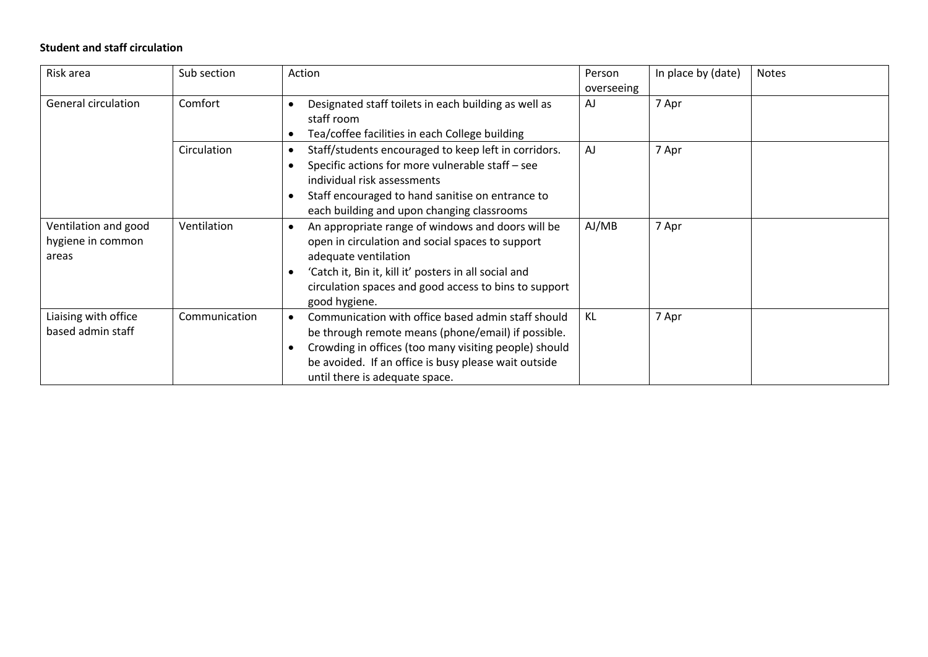### **Student and staff circulation**

| Risk area                                          | Sub section   | Action                                                                                                                                                                                                                                                                   | Person<br>overseeing | In place by (date) | <b>Notes</b> |
|----------------------------------------------------|---------------|--------------------------------------------------------------------------------------------------------------------------------------------------------------------------------------------------------------------------------------------------------------------------|----------------------|--------------------|--------------|
| General circulation                                | Comfort       | Designated staff toilets in each building as well as<br>staff room<br>Tea/coffee facilities in each College building                                                                                                                                                     | AJ                   | 7 Apr              |              |
|                                                    | Circulation   | Staff/students encouraged to keep left in corridors.<br>$\bullet$<br>Specific actions for more vulnerable staff - see<br>individual risk assessments<br>Staff encouraged to hand sanitise on entrance to<br>each building and upon changing classrooms                   | AJ                   | 7 Apr              |              |
| Ventilation and good<br>hygiene in common<br>areas | Ventilation   | An appropriate range of windows and doors will be<br>open in circulation and social spaces to support<br>adequate ventilation<br>'Catch it, Bin it, kill it' posters in all social and<br>circulation spaces and good access to bins to support<br>good hygiene.         | AJ/MB                | 7 Apr              |              |
| Liaising with office<br>based admin staff          | Communication | Communication with office based admin staff should<br>$\bullet$<br>be through remote means (phone/email) if possible.<br>Crowding in offices (too many visiting people) should<br>be avoided. If an office is busy please wait outside<br>until there is adequate space. | KL                   | 7 Apr              |              |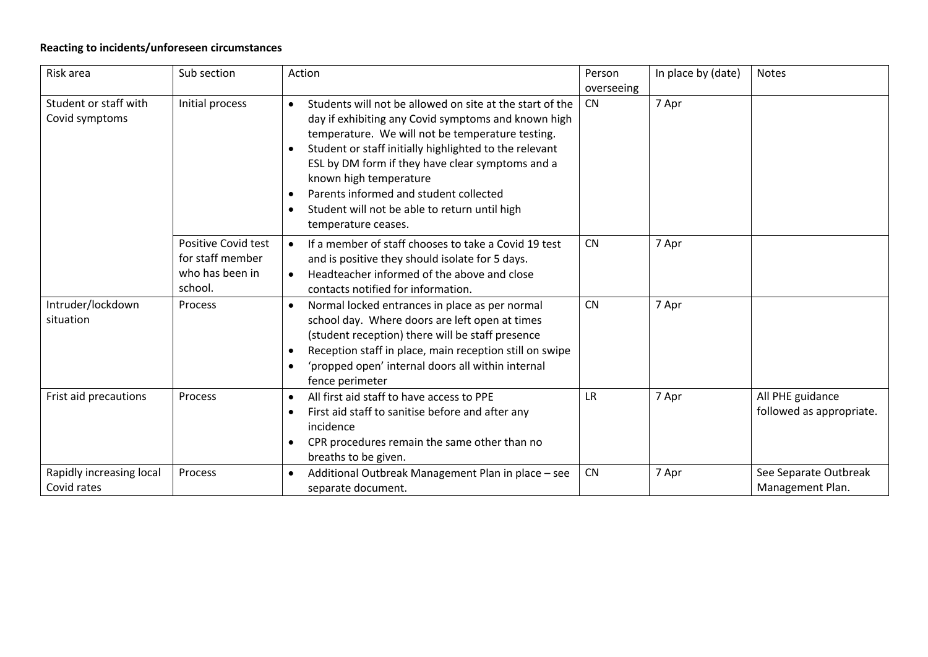## **Reacting to incidents/unforeseen circumstances**

| Risk area                               | Sub section                                                           | Action                                                                                                                                                                                                                                                                                                                                                                                                                                                               | Person<br>overseeing | In place by (date) | <b>Notes</b>                                 |
|-----------------------------------------|-----------------------------------------------------------------------|----------------------------------------------------------------------------------------------------------------------------------------------------------------------------------------------------------------------------------------------------------------------------------------------------------------------------------------------------------------------------------------------------------------------------------------------------------------------|----------------------|--------------------|----------------------------------------------|
| Student or staff with<br>Covid symptoms | Initial process                                                       | Students will not be allowed on site at the start of the<br>$\bullet$<br>day if exhibiting any Covid symptoms and known high<br>temperature. We will not be temperature testing.<br>Student or staff initially highlighted to the relevant<br>ESL by DM form if they have clear symptoms and a<br>known high temperature<br>Parents informed and student collected<br>$\bullet$<br>Student will not be able to return until high<br>$\bullet$<br>temperature ceases. | <b>CN</b>            | 7 Apr              |                                              |
|                                         | Positive Covid test<br>for staff member<br>who has been in<br>school. | If a member of staff chooses to take a Covid 19 test<br>$\bullet$<br>and is positive they should isolate for 5 days.<br>Headteacher informed of the above and close<br>$\bullet$<br>contacts notified for information.                                                                                                                                                                                                                                               | <b>CN</b>            | 7 Apr              |                                              |
| Intruder/lockdown<br>situation          | Process                                                               | Normal locked entrances in place as per normal<br>$\bullet$<br>school day. Where doors are left open at times<br>(student reception) there will be staff presence<br>Reception staff in place, main reception still on swipe<br>$\bullet$<br>'propped open' internal doors all within internal<br>$\bullet$<br>fence perimeter                                                                                                                                       | <b>CN</b>            | 7 Apr              |                                              |
| Frist aid precautions                   | Process                                                               | All first aid staff to have access to PPE<br>$\bullet$<br>First aid staff to sanitise before and after any<br>$\bullet$<br>incidence<br>CPR procedures remain the same other than no<br>$\bullet$<br>breaths to be given.                                                                                                                                                                                                                                            | LR.                  | 7 Apr              | All PHE guidance<br>followed as appropriate. |
| Rapidly increasing local<br>Covid rates | Process                                                               | Additional Outbreak Management Plan in place - see<br>$\bullet$<br>separate document.                                                                                                                                                                                                                                                                                                                                                                                | CN                   | 7 Apr              | See Separate Outbreak<br>Management Plan.    |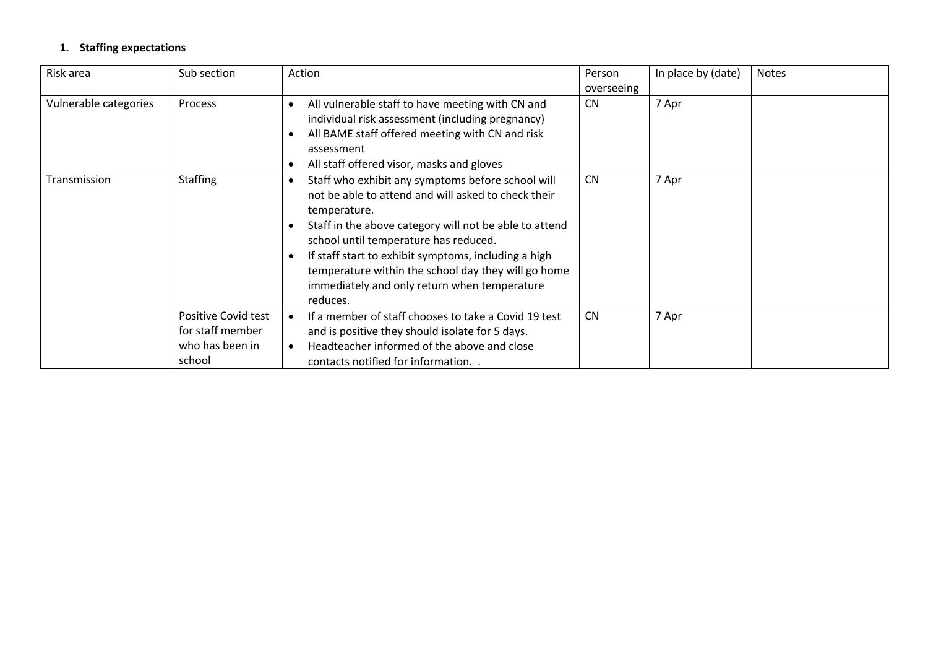## **1. Staffing expectations**

| Risk area             | Sub section                                                          | Action                                                                                                                                                                                                                                                                                                                                                                                                 | Person<br>overseeing | In place by (date) | <b>Notes</b> |
|-----------------------|----------------------------------------------------------------------|--------------------------------------------------------------------------------------------------------------------------------------------------------------------------------------------------------------------------------------------------------------------------------------------------------------------------------------------------------------------------------------------------------|----------------------|--------------------|--------------|
| Vulnerable categories | <b>Process</b>                                                       | All vulnerable staff to have meeting with CN and<br>individual risk assessment (including pregnancy)<br>All BAME staff offered meeting with CN and risk<br>assessment<br>All staff offered visor, masks and gloves                                                                                                                                                                                     | <b>CN</b>            | 7 Apr              |              |
| Transmission          | <b>Staffing</b>                                                      | Staff who exhibit any symptoms before school will<br>not be able to attend and will asked to check their<br>temperature.<br>Staff in the above category will not be able to attend<br>school until temperature has reduced.<br>If staff start to exhibit symptoms, including a high<br>temperature within the school day they will go home<br>immediately and only return when temperature<br>reduces. | <b>CN</b>            | 7 Apr              |              |
|                       | Positive Covid test<br>for staff member<br>who has been in<br>school | If a member of staff chooses to take a Covid 19 test<br>and is positive they should isolate for 5 days.<br>Headteacher informed of the above and close<br>contacts notified for information                                                                                                                                                                                                            | <b>CN</b>            | 7 Apr              |              |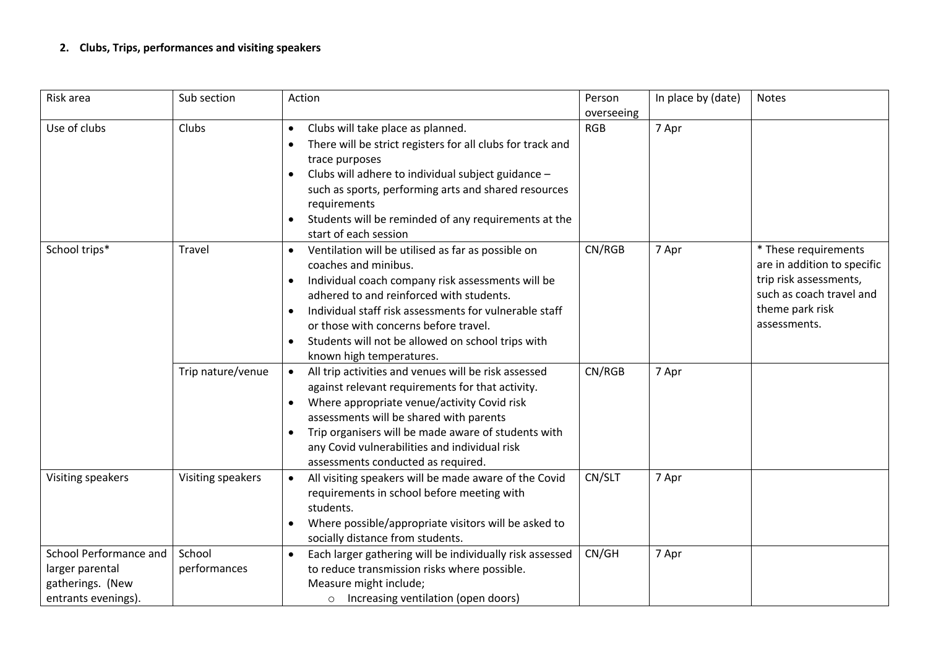## **2. Clubs, Trips, performances and visiting speakers**

| Risk area                                                                            | Sub section            | Action                                                                                                                                                                                                                                                                                                                                                                       | Person<br>overseeing | In place by (date) | <b>Notes</b>                                                                                                                                 |
|--------------------------------------------------------------------------------------|------------------------|------------------------------------------------------------------------------------------------------------------------------------------------------------------------------------------------------------------------------------------------------------------------------------------------------------------------------------------------------------------------------|----------------------|--------------------|----------------------------------------------------------------------------------------------------------------------------------------------|
| Use of clubs                                                                         | Clubs                  | Clubs will take place as planned.<br>$\bullet$<br>There will be strict registers for all clubs for track and<br>trace purposes<br>Clubs will adhere to individual subject guidance -<br>$\bullet$<br>such as sports, performing arts and shared resources<br>requirements<br>Students will be reminded of any requirements at the<br>start of each session                   | <b>RGB</b>           | 7 Apr              |                                                                                                                                              |
| School trips*                                                                        | Travel                 | Ventilation will be utilised as far as possible on<br>$\bullet$<br>coaches and minibus.<br>Individual coach company risk assessments will be<br>adhered to and reinforced with students.<br>Individual staff risk assessments for vulnerable staff<br>or those with concerns before travel.<br>Students will not be allowed on school trips with<br>known high temperatures. | CN/RGB               | 7 Apr              | * These requirements<br>are in addition to specific<br>trip risk assessments,<br>such as coach travel and<br>theme park risk<br>assessments. |
|                                                                                      | Trip nature/venue      | All trip activities and venues will be risk assessed<br>$\bullet$<br>against relevant requirements for that activity.<br>Where appropriate venue/activity Covid risk<br>$\bullet$<br>assessments will be shared with parents<br>Trip organisers will be made aware of students with<br>any Covid vulnerabilities and individual risk<br>assessments conducted as required.   | CN/RGB               | 7 Apr              |                                                                                                                                              |
| Visiting speakers                                                                    | Visiting speakers      | All visiting speakers will be made aware of the Covid<br>$\bullet$<br>requirements in school before meeting with<br>students.<br>Where possible/appropriate visitors will be asked to<br>socially distance from students.                                                                                                                                                    | CN/SLT               | 7 Apr              |                                                                                                                                              |
| School Performance and<br>larger parental<br>gatherings. (New<br>entrants evenings). | School<br>performances | Each larger gathering will be individually risk assessed<br>$\bullet$<br>to reduce transmission risks where possible.<br>Measure might include;<br>o Increasing ventilation (open doors)                                                                                                                                                                                     | CN/GH                | 7 Apr              |                                                                                                                                              |